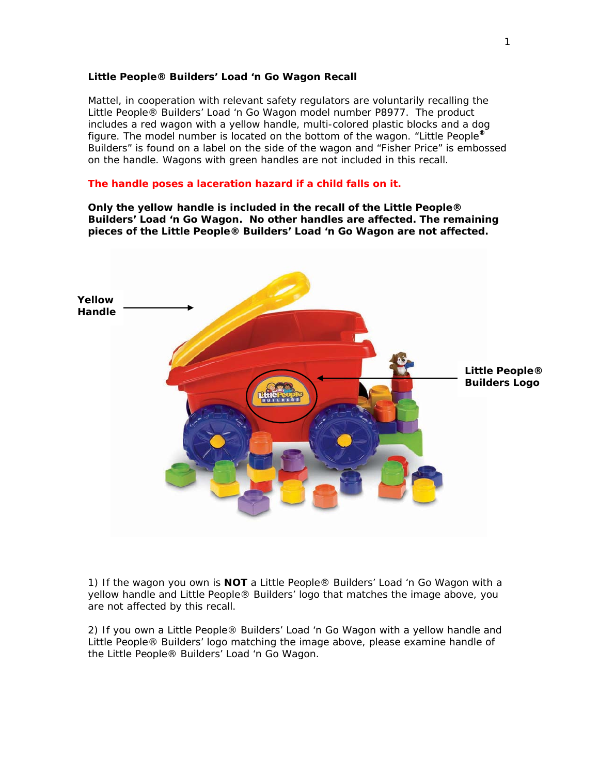## **Little People® Builders' Load 'n Go Wagon Recall**

Mattel, in cooperation with relevant safety regulators are voluntarily recalling the Little People® Builders' Load 'n Go Wagon model number P8977. The product includes a red wagon with a yellow handle, multi-colored plastic blocks and a dog figure. The model number is located on the bottom of the wagon. "Little People**®** Builders" is found on a label on the side of the wagon and "Fisher Price" is embossed on the handle. Wagons with green handles are not included in this recall.

## **The handle poses a laceration hazard if a child falls on it.**

**Only the yellow handle is included in the recall of the Little People® Builders' Load 'n Go Wagon. No other handles are affected. The remaining pieces of the Little People® Builders' Load 'n Go Wagon are not affected.** 



1) If the wagon you own is **NOT** a Little People® Builders' Load 'n Go Wagon with a yellow handle and Little People® Builders' logo that matches the image above, you are not affected by this recall.

2) If you own a Little People® Builders' Load 'n Go Wagon with a yellow handle and Little People® Builders' logo matching the image above, please examine handle of the Little People® Builders' Load 'n Go Wagon.